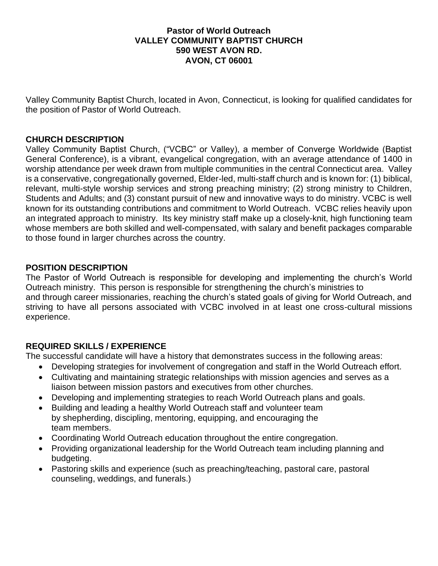### **Pastor of World Outreach VALLEY COMMUNITY BAPTIST CHURCH 590 WEST AVON RD. AVON, CT 06001**

Valley Community Baptist Church, located in Avon, Connecticut, is looking for qualified candidates for the position of Pastor of World Outreach.

## **CHURCH DESCRIPTION**

Valley Community Baptist Church, ("VCBC" or Valley), a member of Converge Worldwide (Baptist General Conference), is a vibrant, evangelical congregation, with an average attendance of 1400 in worship attendance per week drawn from multiple communities in the central Connecticut area. Valley is a conservative, congregationally governed, Elder-led, multi-staff church and is known for: (1) biblical, relevant, multi-style worship services and strong preaching ministry; (2) strong ministry to Children, Students and Adults; and (3) constant pursuit of new and innovative ways to do ministry. VCBC is well known for its outstanding contributions and commitment to World Outreach. VCBC relies heavily upon an integrated approach to ministry. Its key ministry staff make up a closely-knit, high functioning team whose members are both skilled and well-compensated, with salary and benefit packages comparable to those found in larger churches across the country.

### **POSITION DESCRIPTION**

The Pastor of World Outreach is responsible for developing and implementing the church's World Outreach ministry. This person is responsible for strengthening the church's ministries to and through career missionaries, reaching the church's stated goals of giving for World Outreach, and striving to have all persons associated with VCBC involved in at least one cross-cultural missions experience.

# **REQUIRED SKILLS / EXPERIENCE**

The successful candidate will have a history that demonstrates success in the following areas:

- Developing strategies for involvement of congregation and staff in the World Outreach effort.
- Cultivating and maintaining strategic relationships with mission agencies and serves as a liaison between mission pastors and executives from other churches.
- Developing and implementing strategies to reach World Outreach plans and goals.
- Building and leading a healthy World Outreach staff and volunteer team by shepherding, discipling, mentoring, equipping, and encouraging the team members.
- Coordinating World Outreach education throughout the entire congregation.
- Providing organizational leadership for the World Outreach team including planning and budgeting.
- Pastoring skills and experience (such as preaching/teaching, pastoral care, pastoral counseling, weddings, and funerals.)